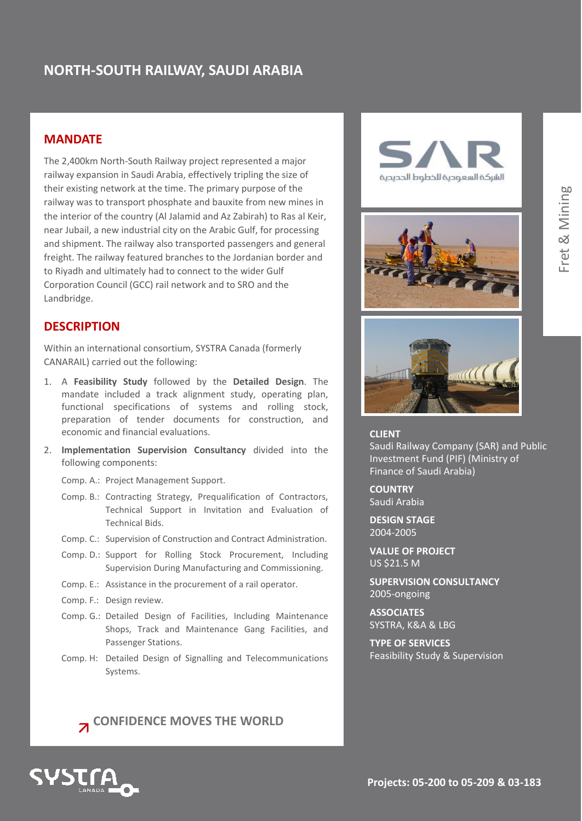# **NORTH-SOUTH RAILWAY, SAUDI ARABIA**

### **MANDATE**

The 2,400km North-South Railway project represented a major railway expansion in Saudi Arabia, effectively tripling the size of their existing network at the time. The primary purpose of the railway was to transport phosphate and bauxite from new mines in the interior of the country (Al Jalamid and Az Zabirah) to Ras al Keir, near Jubail, a new industrial city on the Arabic Gulf, for processing and shipment. The railway also transported passengers and general freight. The railway featured branches to the Jordanian border and to Riyadh and ultimately had to connect to the wider Gulf Corporation Council (GCC) rail network and to SRO and the Landbridge.

### **DESCRIPTION**

Within an international consortium, SYSTRA Canada (formerly CANARAIL) carried out the following:

- 1. A **Feasibility Study** followed by the **Detailed Design**. The mandate included a track alignment study, operating plan, functional specifications of systems and rolling stock, preparation of tender documents for construction, and economic and financial evaluations.
- 2. **Implementation Supervision Consultancy** divided into the following components:
	- Comp. A.: Project Management Support.
	- Comp. B.: Contracting Strategy, Prequalification of Contractors, Technical Support in Invitation and Evaluation of Technical Bids.
	- Comp. C.: Supervision of Construction and Contract Administration.
	- Comp. D.: Support for Rolling Stock Procurement, Including Supervision During Manufacturing and Commissioning.
	- Comp. E.: Assistance in the procurement of a rail operator.
	- Comp. F.: Design review.
	- Comp. G.: Detailed Design of Facilities, Including Maintenance Shops, Track and Maintenance Gang Facilities, and Passenger Stations.
	- Comp. H: Detailed Design of Signalling and Telecommunications Systems.

**Z** CONFIDENCE MOVES THE WORLD









#### **CLIENT**

Saudi Railway Company (SAR) and Public Investment Fund (PIF) (Ministry of Finance of Saudi Arabia)

**COUNTRY** Saudi Arabia

**DESIGN STAGE** 2004-2005

**VALUE OF PROJECT**  $\overline{\text{US}}$  \$21.5 M

**SUPERVISION CONSULTANCY** 2005-ongoing

**ASSOCIATES** SYSTRA, K&A & LBG

**TYPE OF SERVICES** Feasibility Study & Supervision

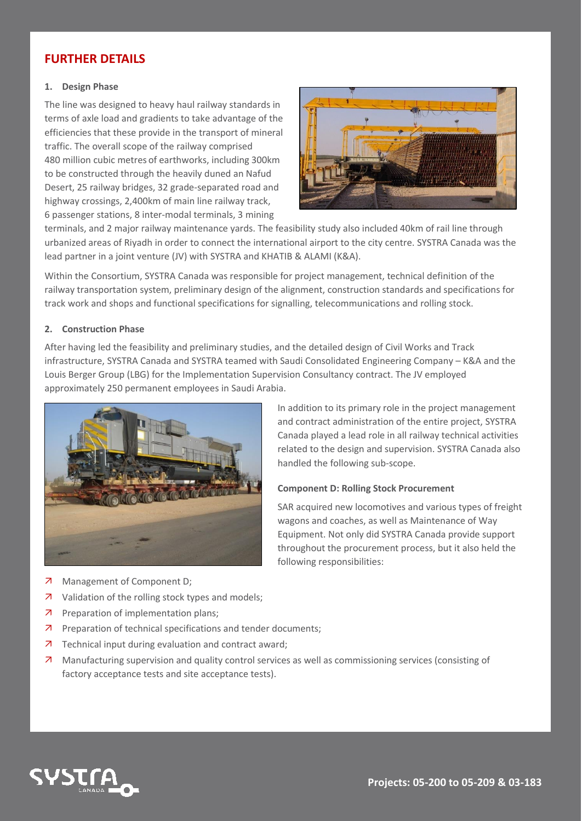## **FURTHER DETAILS**

#### **1. Design Phase**

The line was designed to heavy haul railway standards in terms of axle load and gradients to take advantage of the efficiencies that these provide in the transport of mineral traffic. The overall scope of the railway comprised 480 million cubic metres of earthworks, including 300km to be constructed through the heavily duned an Nafud Desert, 25 railway bridges, 32 grade-separated road and highway crossings, 2,400km of main line railway track, 6 passenger stations, 8 inter-modal terminals, 3 mining



terminals, and 2 major railway maintenance yards. The feasibility study also included 40km of rail line through urbanized areas of Riyadh in order to connect the international airport to the city centre. SYSTRA Canada was the lead partner in a joint venture (JV) with SYSTRA and KHATIB & ALAMI (K&A).

Within the Consortium, SYSTRA Canada was responsible for project management, technical definition of the railway transportation system, preliminary design of the alignment, construction standards and specifications for track work and shops and functional specifications for signalling, telecommunications and rolling stock.

#### **2. Construction Phase**

After having led the feasibility and preliminary studies, and the detailed design of Civil Works and Track infrastructure, SYSTRA Canada and SYSTRA teamed with Saudi Consolidated Engineering Company – K&A and the Louis Berger Group (LBG) for the Implementation Supervision Consultancy contract. The JV employed approximately 250 permanent employees in Saudi Arabia.



In addition to its primary role in the project management and contract administration of the entire project, SYSTRA Canada played a lead role in all railway technical activities related to the design and supervision. SYSTRA Canada also handled the following sub-scope.

#### **Component D: Rolling Stock Procurement**

SAR acquired new locomotives and various types of freight wagons and coaches, as well as Maintenance of Way Equipment. Not only did SYSTRA Canada provide support throughout the procurement process, but it also held the following responsibilities:

- 7 Management of Component D;
- 7 Validation of the rolling stock types and models;
- **7** Preparation of implementation plans;
- **Preparation of technical specifications and tender documents;**
- 7 Technical input during evaluation and contract award;
- Manufacturing supervision and quality control services as well as commissioning services (consisting of factory acceptance tests and site acceptance tests).